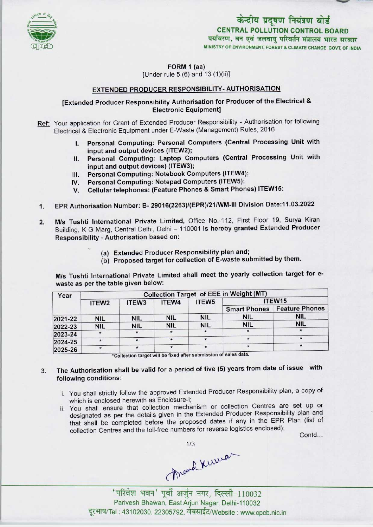

FORM 1 (aa)

[Under rule  $5(6)$  and  $13(1)(ii)$ ]

# EXTENDED PRODUCER RESPONSIBILITY-AUTHORISATION

### [Extended Producer Responsibility Authorisation for Producer of the Electrical & Electronic Equipment]

Ref: Your application for Grant of Extended Producer Responsibility - Authorisation for following Electrical & Electronic Equipment under E-Waste (Management) Rules, 2016

- I. Personal Computing: Personal Computers (Central Processing Unit with input and output devices (ITEW2);
- II. Personal Computing: Laptop Computers (Central Processing Unit with input and output devices) (ITEW3); II. Personal Computing: Laptop Computers (Central<br>
input and output devices) (ITEW3);<br>
III. Personal Computing: Notebook Computers (ITEW4);
- 
- III. Personal Computing: Notebook Computers (ITEW4<br>IV. Personal Computing: Notepad Computers (ITEW5);<br>W. Personal Computing: Notepad Computers (ITEW5);
- III. Personal Computing: Notebook Computers (ITEW4);<br>IV. Personal Computing: Notepad Computers (ITEW5);<br>V. Cellular telephones: (Feature Phones & Smart Phones) ITEW15:
- 1. EPR Authorisation Number: B-29016(2263)/(EPR)/21/WM-lll Division Date:11.03.2022
- M/s Tushti International Private Limited, Office No,-112, First Floor 19, Surya Kiran Building, K G Marg, Central Delhi, Delhi - 110001 is hereby granted Extended Producer Responsibility - Authorisation based on: 2.
	- (a) Extended Producer Responsibility plan and;
	- (b) Proposed target for collection of E-waste submitted by them.

M/s Tushti International Private Limited shall meet the yearly collection target for ewaste as per the table given below:

| Year    | <b>Collection Target of EEE in Weight (MT)</b> |                   |            |                   |                     |                       |
|---------|------------------------------------------------|-------------------|------------|-------------------|---------------------|-----------------------|
|         | ITEW <sub>2</sub>                              | ITEW <sub>3</sub> | ITEW4      | ITEW <sub>5</sub> | ITEW15              |                       |
|         |                                                |                   |            |                   | <b>Smart Phones</b> | <b>Feature Phones</b> |
| 2021-22 | <b>NIL</b>                                     | <b>NIL</b>        | <b>NIL</b> | <b>NIL</b>        | <b>NIL</b>          | <b>NIL</b>            |
| 2022-23 | <b>NIL</b>                                     | <b>NIL</b>        | <b>NIL</b> | <b>NIL</b>        | <b>NIL</b>          | <b>NIL</b>            |
| 2023-24 |                                                | $\star$           |            |                   |                     |                       |
| 2024-25 | $\star$                                        | $\star$           |            |                   |                     |                       |
| 2025-26 | $\star$                                        |                   |            |                   |                     |                       |

\*Collection target will be fixed after submission o

#### The Authorisation shall be valid for a period of five (5) years from date of issue with 3. following conditions:

- i. You shall strictly follow the approved Extended Producer Responsibility plan, a copy of which is enclosed herewith as Enclosure-I;
- ii. You shall ensure that collection mechanism or collection Centres are set up or designated as per the details given in the Extended Producer Responsibility plan and designated as per the details given in the Extended Producci Responsionity protection.<br>that shall be completed before the proposed dates if any in the EPR Plan (list of You shall ensure that collection mechanism of collection centres are<br>designated as per the details given in the Extended Producer Responsibilit<br>that shall be completed before the proposed dates if any in the EPR P<br>collecti

Contd...

Thrand Kuruan

'परिवेश भवन' पूर्वी अर्जुन नगर, दिल्ली-110032 Parivesh Bhawan, East Arjun Nagar, Delhi-110032 दूरभाष/Tel: 43102030, 22305792, वेबसाईट/Website : www.cpcb.nic.in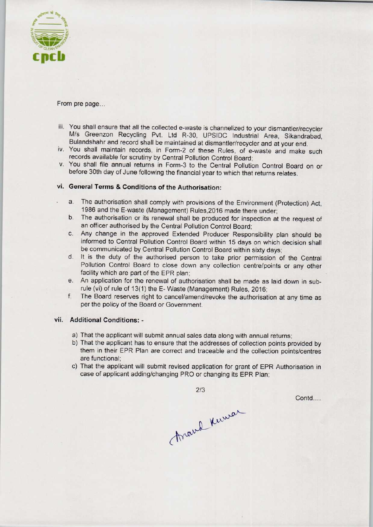

From pre page...

- iii. You shall ensure that all the collected e-waste is channelized to your dismantler/recycler M/s Greenzon Recycling Pvt. Ltd R-30, UPSIDC Industrial Area, Sikandrabad, Bulandshahr and record shall be maintained at dismantler/recycler and at your end.
- iv. You shall maintain records, in Form-2 of these Rules, of e-waste and make such records available for scrutiny by Central Pollution Control Board;
- v. You shall file annual returns in Form-3 to the Central Pollution Control Board on or before 30th day of June following the financial year to which that returns relates.

# vi. General Terms & Conditions of the Authorisation:

- a.The authorisation shall comply with provisions of the Environment (Protection) Act, 1986 and the E-waste (Management) Rules,2016 made there under;
- b. The authorisation or its renewal shall be produced for inspection at the request of an officer authorised by the Central Pollution Control Board;
- c.Any change in the approved Extended Producer Responsibility plan should be informed to Central Pollution Control Board within 15 days on which decision shall be communicated by Central Pollution Control Board within sixty days;
- d. It is the duty of the authorised person to take prior permission of the Central Pollution Control Board to close down any collection centre/points or any other facility which are part of the EPR plan;
- e. An application for the renewal of authorisation shall be made as laid down in subrule (vi) of rule of 13(1) the E- Waste (Management) Rules, 2016;
- f. The Board reserves right to cancel/amend/revoke the authorisation at any time as per the policy of the Board or Government.

### vii. Additional Conditions: -

- a) That the applicant will submit annual sales data along with annual returns;
- b)That the applicant has to ensure that the addresses of collection points provided by them in their EPR Plan are correct and traceable and the collection points/centres are functional;
- c) That the applicant will submit revised application for grant of EPR Authorisation in case of applicant adding/changing PRO or changing its EPR Plan;

2/3

Contd....

Arand Kumar